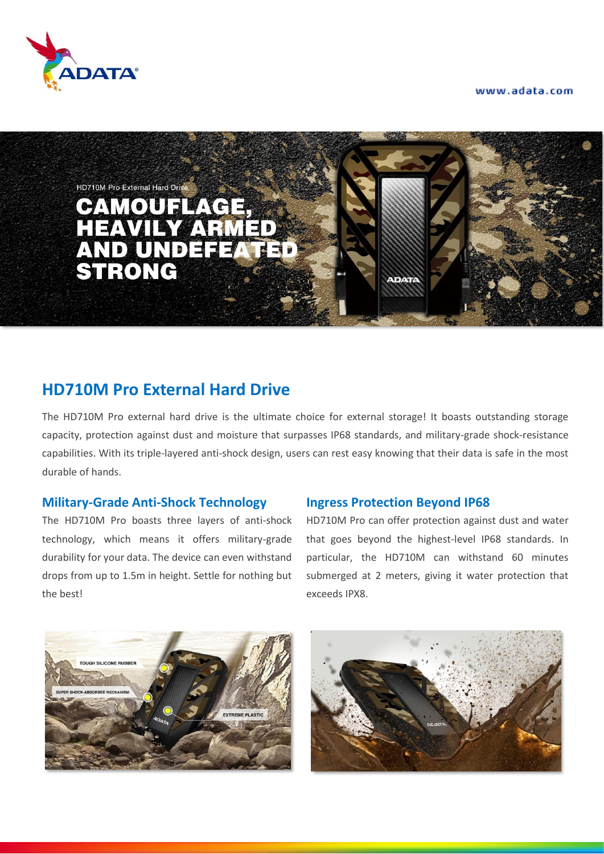www.adata.com





# **HD710M Pro External Hard Drive**

The HD710M Pro external hard drive is the ultimate choice for external storage! It boasts outstanding storage capacity, protection against dust and moisture that surpasses IP68 standards, and military-grade shock-resistance capabilities. With its triple-layered anti-shock design, users can rest easy knowing that their data is safe in the most durable of hands.

# **Military-Grade Anti-Shock Technology**

The HD710M Pro boasts three layers of anti-shock technology, which means it offers military-grade durability for your data. The device can even withstand drops from up to 1.5m in height. Settle for nothing but the best!

#### **Ingress Protection Beyond IP68**

HD710M Pro can offer protection against dust and water that goes beyond the highest-level IP68 standards. In particular, the HD710M can withstand 60 minutes submerged at 2 meters, giving it water protection that exceeds IPX8.